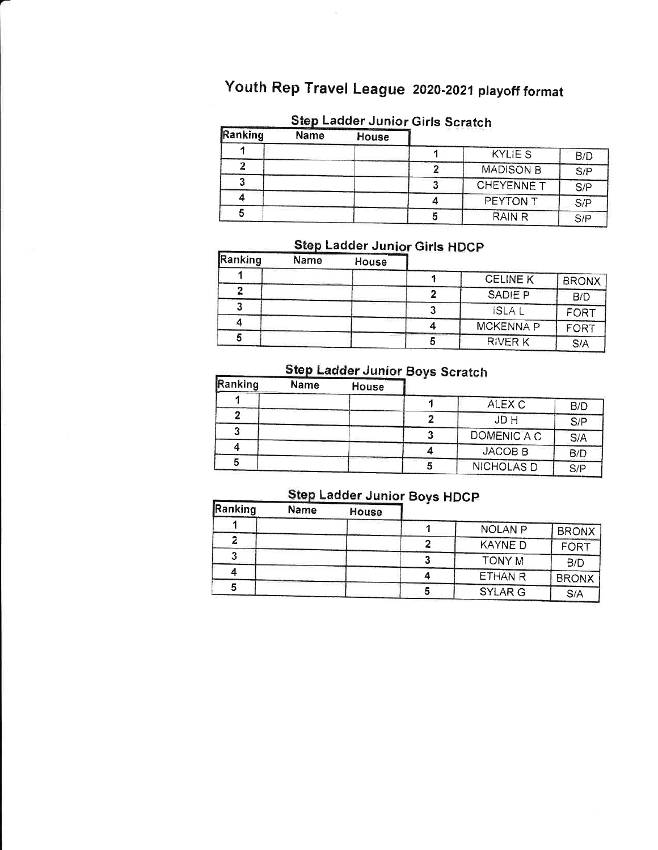## Youth Rep Travel League 2020-2021 playoff format

#### Step Ladder Junior Girls Scratch

| Ranking | <b>Name</b> | House |                   |     |
|---------|-------------|-------|-------------------|-----|
|         |             |       | <b>KYLIE S</b>    | B/D |
|         |             |       | <b>MADISON B</b>  | S/P |
|         |             |       | <b>CHEYENNE T</b> | S/P |
|         |             |       | PEYTON T          | S/P |
|         |             |       | <b>RAIN R</b>     | S/P |

## Step Ladder Junior Girls HDCP

| <b>IRanking</b> | Name | House |                  |              |
|-----------------|------|-------|------------------|--------------|
|                 |      |       | <b>CELINE K</b>  | <b>BRONX</b> |
|                 |      |       | SADIE P          | B/D          |
|                 |      |       | <b>ISLA</b>      | FORT         |
|                 |      |       | <b>MCKENNA P</b> | FORT         |
|                 |      |       | <b>RIVER K</b>   | S/A          |

## Step Ladder Junior Boys Scratch

| <b>Kanking</b> | <b>Name</b> | House |                    |     |
|----------------|-------------|-------|--------------------|-----|
|                |             |       | ALEX C             | B/D |
|                |             |       | JD H               | S/P |
|                |             |       | DOMENIC A C        | S/A |
|                |             |       | JACOB <sub>B</sub> | B/D |
|                |             |       | <b>NICHOLAS D</b>  | S/P |

### Step Ladder Junior Boys HDCP

| Ranking | <b>Name</b> | House | -----          |              |
|---------|-------------|-------|----------------|--------------|
|         |             |       | <b>NOLAN P</b> | <b>BRONX</b> |
|         |             |       | <b>KAYNED</b>  | FORT         |
|         |             |       | TONY M         | B/D          |
|         |             |       | <b>ETHAN R</b> | <b>BRONX</b> |
|         |             |       | <b>SYLAR G</b> | S/A          |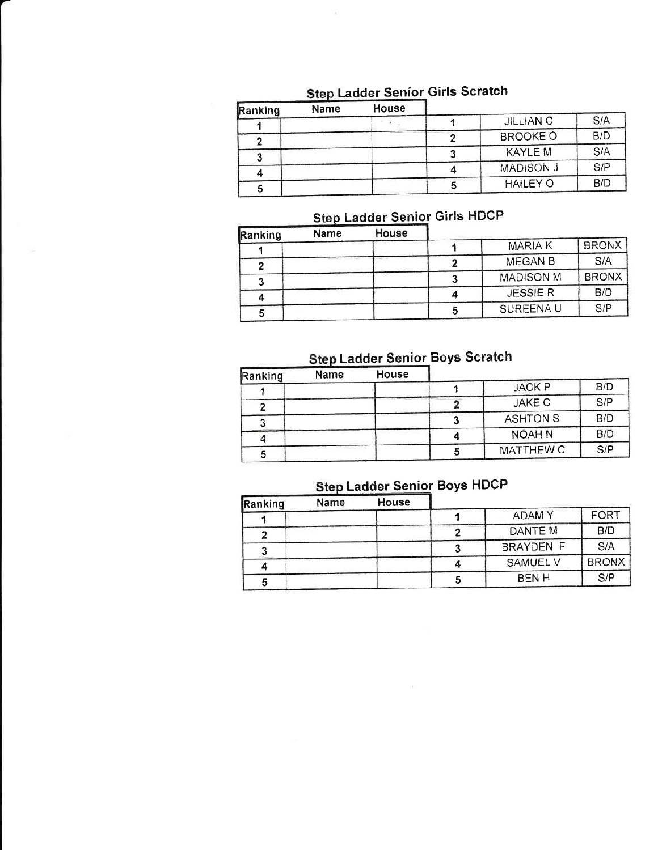| Ranking | Name | <b>House</b> |                  |     |
|---------|------|--------------|------------------|-----|
|         |      |              | <b>JILLIAN C</b> | S/A |
|         |      |              | <b>BROOKE O</b>  | B/D |
|         |      |              | <b>KAYLE M</b>   | S/A |
|         |      |              | <b>MADISON J</b> | S/P |
|         |      |              | <b>HAILEY O</b>  | B/D |

#### adder Senior Girls Scratch

## Step Ladder Senior Girls HDCP

| Ranking | Name | House |                  |              |
|---------|------|-------|------------------|--------------|
|         |      |       | <b>MARIAK</b>    | <b>BRONX</b> |
|         |      |       | <b>MEGAN B</b>   | S/A          |
|         |      |       | <b>MADISON M</b> | <b>BRONX</b> |
|         |      |       | <b>JESSIER</b>   | B/D          |
|         |      |       | SUREENA U        | S/P          |

#### Ladder Senior Boys Scratch

| Ranking | Name | House |                  |     |
|---------|------|-------|------------------|-----|
|         |      |       | <b>JACK P</b>    | B/D |
|         |      |       | <b>JAKE C</b>    | S/P |
|         |      |       | <b>ASHTON S</b>  | B/D |
|         |      |       | <b>NOAH N</b>    | B/D |
|         |      |       | <b>MATTHEW C</b> | S/P |

## Step Ladder Senior Boys HDCP

| Ranking | Name | <b>House</b> |                  |              |
|---------|------|--------------|------------------|--------------|
|         |      |              | <b>ADAMY</b>     | <b>FORT</b>  |
|         |      |              | DANTE M          | B/D          |
|         |      |              | <b>BRAYDEN F</b> | S/A          |
|         |      |              | <b>SAMUEL V</b>  | <b>BRONX</b> |
| 0       |      |              | <b>BENH</b>      | S/P          |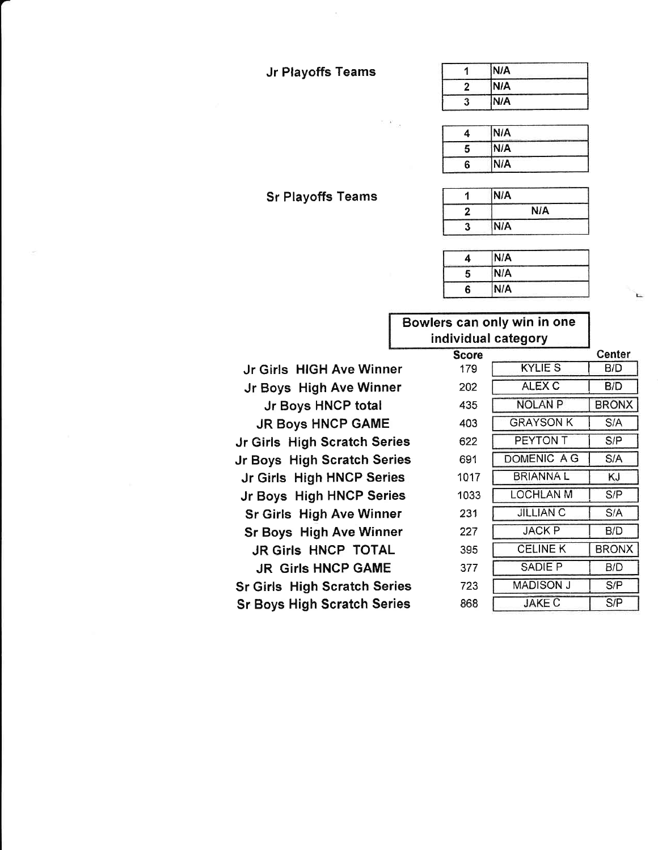#### Jr Playoffs Teams

 $x_{\rm -18}$ 

|        | <b>IN/A</b> |
|--------|-------------|
|        | N/A         |
| n<br>J | N/A         |

|   | N/A |  |
|---|-----|--|
| 5 | N/A |  |
| հ | N/A |  |

#### <sup>1</sup> N/A 2 N/A 3 N/A

| α | IN/A |  |
|---|------|--|
| 5 | N/A  |  |
| R | N/A  |  |

#### Bowlers can only win in one individual category

Jr Girls HIGH Ave Winner Jr Boys High Ave Winner Jr Boys HNCP total JR Boys HNCP GAME Jr Girls High Scratch Series Jr Boys High Scratch Series Jr Girls High HNCP Series Jr Boys High HNCP Series Sr Girls High Ave Winner Sr Boys High Ave Winner JR Girls HNCP TOTAL JR Girls HNCP GAME Sr Girls High Scratch Series Sr Boys High Scratch Series

|              | ,,,,,,,,,,,      |              |
|--------------|------------------|--------------|
| <b>Score</b> |                  | Center       |
| 179          | <b>KYLIE S</b>   | B/D          |
| 202          | <b>ALEX C</b>    | B/D          |
| 435          | <b>NOLAN P</b>   | <b>BRONX</b> |
| 403          | GRAYSON K        | S/A          |
| 622          | PEYTON T         | S/P          |
| 691          | DOMENIC A G      | S/A          |
| 1017         | BRIANNA L        | KJ           |
| 1033         | LOCHLAN M        | S/P          |
| 231          | <b>JILLIAN C</b> | S/A          |
| 227          | <b>JACK P</b>    | B/D          |
| 395          | <b>CELINE K</b>  | <b>BRONX</b> |
| 377          | SADIE P          | B/D          |
| 723          | MADISON J        | S/P          |
| 868          | <b>JAKE C</b>    | S/P          |

#### Sr Playoffs Teams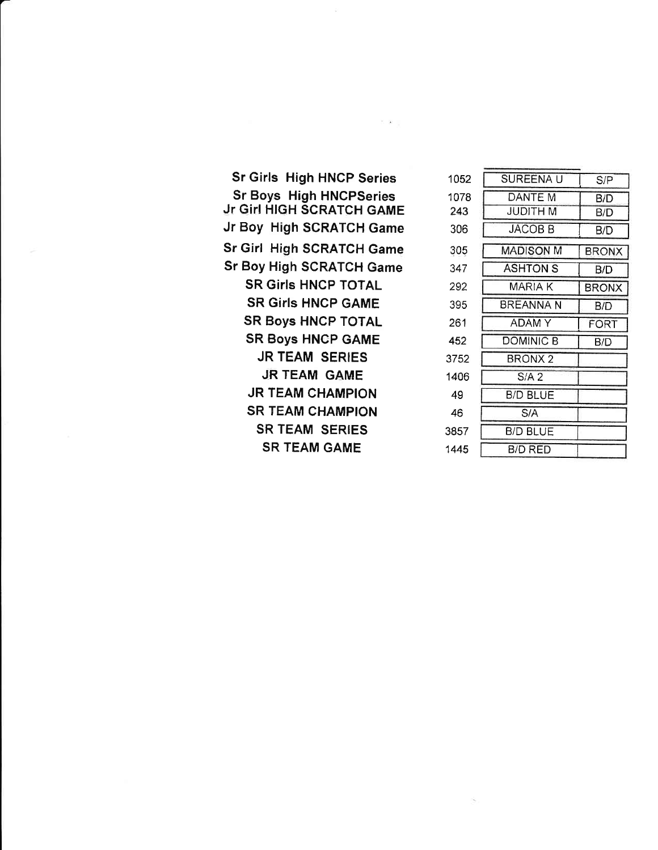| <b>Sr Girls High HNCP Series</b>                            |
|-------------------------------------------------------------|
| <b>Sr Boys High HNCPSeries</b><br>Jr Girl HIGH SCRATCH GAME |
| Jr Boy High SCRATCH Game                                    |
| Sr Girl High SCRATCH Game                                   |
| Sr Boy High SCRATCH Game                                    |
| <b>SR Girls HNCP TOTAL</b>                                  |
| <b>SR Girls HNCP GAME</b>                                   |
| <b>SR Boys HNCP TOTAL</b>                                   |
| <b>SR Boys HNCP GAME</b>                                    |
| <b>JR TEAM SERIES</b>                                       |
| JR TEAM GAME                                                |
| <b>JR TEAM CHAMPION</b>                                     |
| <b>SR TEAM CHAMPION</b>                                     |
| <b>SR TEAM SERIES</b>                                       |
| <b>SR TEAM GAME</b>                                         |
|                                                             |

 $\mathbb{E}\left[\mathbf{X}\right]_{\mathcal{H}}^{\mathcal{H}}=\mathbb{E}\left[\mathbf{X}\right]_{\mathcal{H}}^{\mathcal{H}}$ 

| SUREENA U       | S/P          |
|-----------------|--------------|
| DANTE M         | B/D          |
| JUDITH M        | B/D          |
| JACOB B         | B/D          |
| MADISON M       | BRONX        |
| ASHTON S        | B/D          |
| MARIA K         | <b>BRONX</b> |
| BREANNA N       | B/D          |
| ADAM Y          | FORT         |
| DOMINIC B       | B/D          |
| BRONX 2         |              |
| $S/A$ 2         |              |
| <b>B/D BLUE</b> |              |
| S/A             |              |
| B/D BLUE        |              |
| B/D RED         |              |
|                 |              |